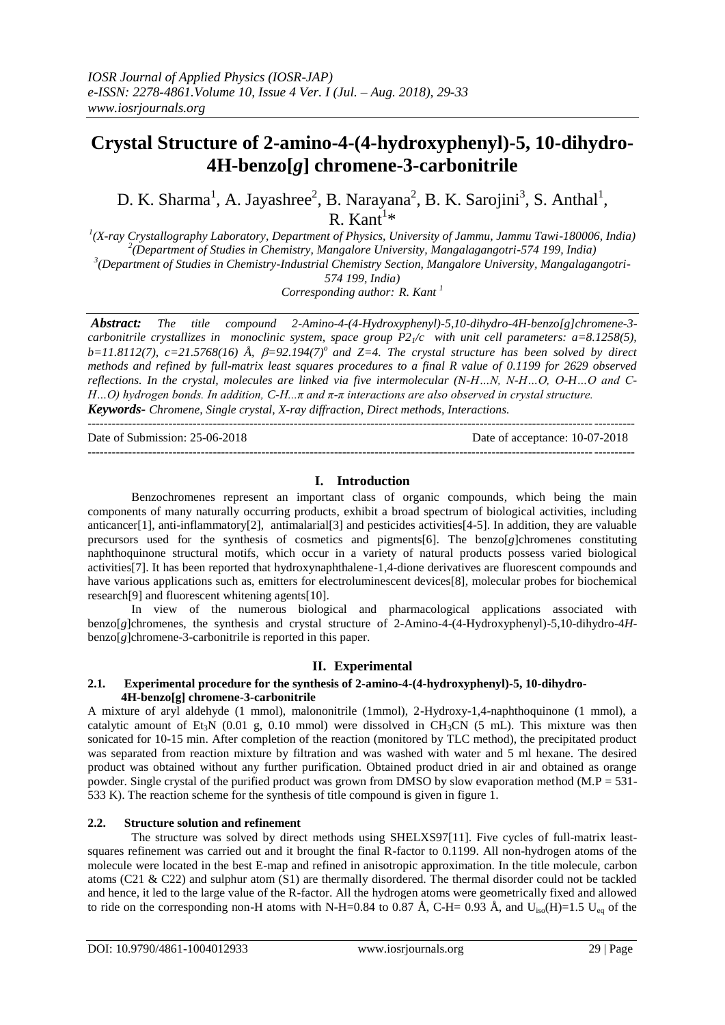# **Crystal Structure of 2-amino-4-(4-hydroxyphenyl)-5, 10-dihydro-4H-benzo[***g***] chromene-3-carbonitrile**

D. K. Sharma<sup>1</sup>, A. Jayashree<sup>2</sup>, B. Narayana<sup>2</sup>, B. K. Sarojini<sup>3</sup>, S. Anthal<sup>1</sup>,  $R.$  Kant<sup>1\*</sup>

 *(X-ray Crystallography Laboratory, Department of Physics, University of Jammu, Jammu Tawi-180006, India) (Department of Studies in Chemistry, Mangalore University, Mangalagangotri-574 199, India) (Department of Studies in Chemistry-Industrial Chemistry Section, Mangalore University, Mangalagangotri-574 199, India)*

*Corresponding author: R. Kant <sup>1</sup>*

*Abstract: The title compound 2-Amino-4-(4-Hydroxyphenyl)-5,10-dihydro-4H-benzo[g]chromene-3 carbonitrile crystallizes in monoclinic system, space group P21/c with unit cell parameters: a=8.1258(5),*   $b=11.8112(7)$ ,  $c=21.5768(16)$  Å,  $\beta=92.194(7)$ <sup>o</sup> and Z=4. The crystal structure has been solved by direct *methods and refined by full-matrix least squares procedures to a final R value of 0.1199 for 2629 observed reflections. In the crystal, molecules are linked via five intermolecular (N-H…N, N-H…O, O-H…O and C-H…O) hydrogen bonds. In addition, C-H...π and π-π interactions are also observed in crystal structure. Keywords***-** *Chromene, Single crystal, X-ray diffraction, Direct methods, Interactions.*

---------------------------------------------------------------------------------------------------------------------------------------

Date of Submission: 25-06-2018 Date of acceptance: 10-07-2018 ---------------------------------------------------------------------------------------------------------------------------------------

## **I. Introduction**

Benzochromenes represent an important class of organic compounds, which being the main components of many naturally occurring products, exhibit a broad spectrum of biological activities, including anticancer[1], anti-inflammatory[2], antimalarial[3] and pesticides activities[4-5]. In addition, they are valuable precursors used for the synthesis of cosmetics and pigments[6]. The benzo[*g*]chromenes constituting naphthoquinone structural motifs, which occur in a variety of natural products possess varied biological activities[7]. It has been reported that hydroxynaphthalene-1,4-dione derivatives are fluorescent compounds and have various applications such as, emitters for electroluminescent devices[8], molecular probes for biochemical research[9] and fluorescent whitening agents[10].

In view of the numerous biological and pharmacological applications associated with benzo[*g*]chromenes, the synthesis and crystal structure of 2-Amino-4-(4-Hydroxyphenyl)-5,10-dihydro-4*H*benzo[*g*]chromene-3-carbonitrile is reported in this paper.

## **II. Experimental**

#### **2.1***.* **Experimental procedure for the synthesis of 2-amino-4-(4-hydroxyphenyl)-5, 10-dihydro- 4H-benzo[g] chromene-3-carbonitrile**

A mixture of aryl aldehyde (1 mmol), malononitrile (1mmol), 2-Hydroxy-1,4-naphthoquinone (1 mmol), a catalytic amount of Et<sub>3</sub>N (0.01 g, 0.10 mmol) were dissolved in CH<sub>3</sub>CN (5 mL). This mixture was then sonicated for 10-15 min. After completion of the reaction (monitored by TLC method), the precipitated product was separated from reaction mixture by filtration and was washed with water and 5 ml hexane. The desired product was obtained without any further purification. Obtained product dried in air and obtained as orange powder. Single crystal of the purified product was grown from DMSO by slow evaporation method (M.P = 531- 533 K). The reaction scheme for the synthesis of title compound is given in figure 1.

## **2.2.****Structure solution and refinement**

The structure was solved by direct methods using SHELXS97[11]. Five cycles of full-matrix leastsquares refinement was carried out and it brought the final R-factor to 0.1199. All non-hydrogen atoms of the molecule were located in the best E-map and refined in anisotropic approximation. In the title molecule, carbon atoms (C21 & C22) and sulphur atom (S1) are thermally disordered. The thermal disorder could not be tackled and hence, it led to the large value of the R-factor. All the hydrogen atoms were geometrically fixed and allowed to ride on the corresponding non-H atoms with N-H=0.84 to 0.87 Å, C-H= 0.93 Å, and  $U_{iso}(H)=1.5$   $U_{eq}$  of the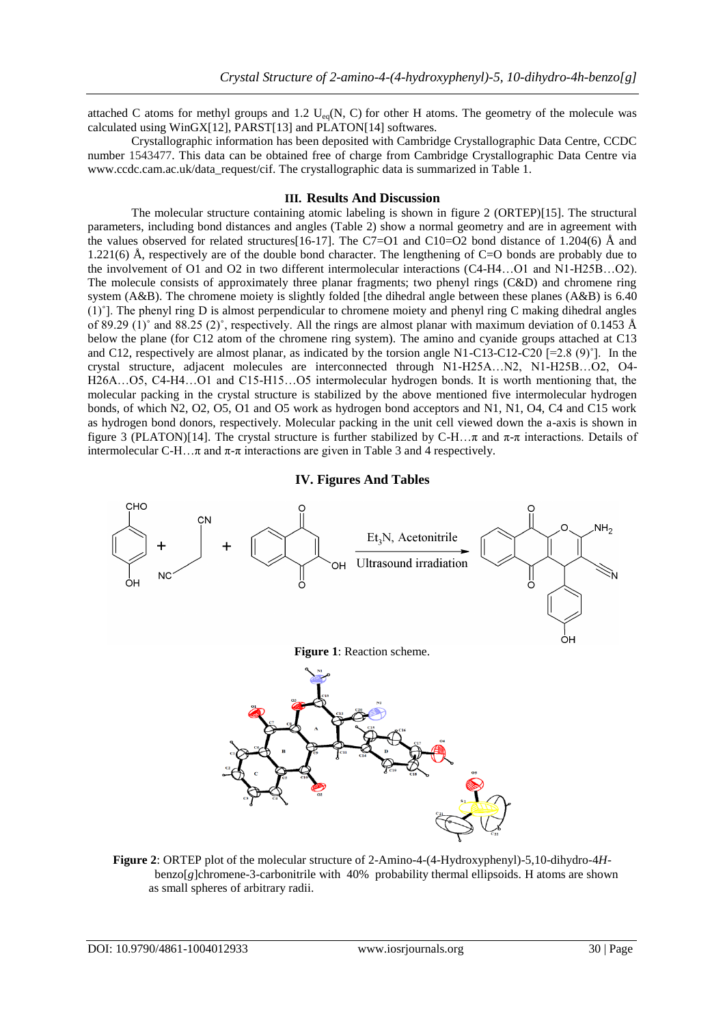attached C atoms for methyl groups and 1.2  $U_{eq}(N, C)$  for other H atoms. The geometry of the molecule was calculated using WinGX[12], PARST[13] and PLATON[14] softwares.

Crystallographic information has been deposited with Cambridge Crystallographic Data Centre, CCDC number 1543477. This data can be obtained free of charge from Cambridge Crystallographic Data Centre via [www.ccdc.cam.ac.uk/data\\_request/cif.](http://www.ccdc.cam.ac.uk/data_request/cif) The crystallographic data is summarized in Table 1.

#### **III. Results And Discussion**

The molecular structure containing atomic labeling is shown in figure 2 (ORTEP)[15]. The structural parameters, including bond distances and angles (Table 2) show a normal geometry and are in agreement with the values observed for related structures[16-17]. The C7=O1 and C10=O2 bond distance of 1.204(6) Å and 1.221(6) Å, respectively are of the double bond character. The lengthening of C=O bonds are probably due to the involvement of O1 and O2 in two different intermolecular interactions (C4-H4…O1 and N1-H25B…O2). The molecule consists of approximately three planar fragments; two phenyl rings (C&D) and chromene ring system (A&B). The chromene moiety is slightly folded [the dihedral angle between these planes (A&B) is 6.40 (1)˚]. The phenyl ring D is almost perpendicular to chromene moiety and phenyl ring C making dihedral angles of 89.29 (1)° and 88.25 (2)°, respectively. All the rings are almost planar with maximum deviation of 0.1453 Å below the plane (for C12 atom of the chromene ring system). The amino and cyanide groups attached at C13 and C12, respectively are almost planar, as indicated by the torsion angle N1-C13-C12-C20  $[=2.8 (9)$ <sup>°</sup>]. In the crystal structure, adjacent molecules are interconnected through N1-H25A…N2, N1-H25B…O2, O4- H26A…O5, C4-H4…O1 and C15-H15…O5 intermolecular hydrogen bonds. It is worth mentioning that, the molecular packing in the crystal structure is stabilized by the above mentioned five intermolecular hydrogen bonds, of which N2, O2, O5, O1 and O5 work as hydrogen bond acceptors and N1, N1, O4, C4 and C15 work as hydrogen bond donors, respectively. Molecular packing in the unit cell viewed down the a-axis is shown in figure 3 (PLATON)[14]. The crystal structure is further stabilized by C-H…π and  $\pi$ -π interactions. Details of intermolecular C-H…π and  $\pi$ -π interactions are given in Table 3 and 4 respectively.

## **IV. Figures And Tables**



**Figure 2**: ORTEP plot of the molecular structure of 2-Amino-4-(4-Hydroxyphenyl)-5,10-dihydro-4*H* benzo[*g*]chromene-3-carbonitrile with 40% probability thermal ellipsoids. H atoms are shown as small spheres of arbitrary radii.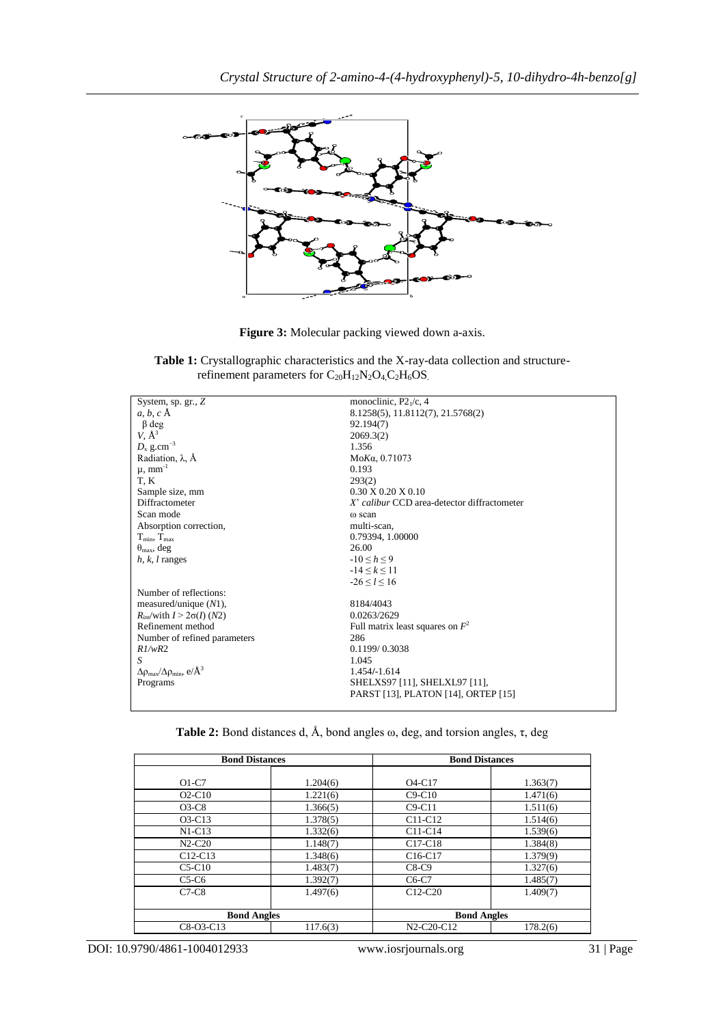

**Figure 3:** Molecular packing viewed down a-axis.

**Table 1:** Crystallographic characteristics and the X-ray-data collection and structure refinement parameters for  $C_{20}H_{12}N_2O_4C_2H_6OS$ .

| System, sp. gr., $Z$                                                | monoclinic, $P2_1/c$ , 4                    |
|---------------------------------------------------------------------|---------------------------------------------|
| $a, b, c \mathbf{A}$                                                | 8.1258(5), 11.8112(7), 21.5768(2)           |
| $\beta$ deg                                                         | 92.194(7)                                   |
| $V, \AA^3$                                                          | 2069.3(2)                                   |
| $D_x$ g.cm <sup>-3</sup>                                            | 1.356                                       |
| Radiation, $\lambda$ , $\AA$                                        | MoKa, 0.71073                               |
| $\mu$ , mm <sup>-1</sup>                                            | 0.193                                       |
| T, K                                                                | 293(2)                                      |
| Sample size, mm                                                     | $0.30 \times 0.20 \times 0.10$              |
| Diffractometer                                                      | X' calibur CCD area-detector diffractometer |
| Scan mode                                                           | ω scan                                      |
| Absorption correction,                                              | multi-scan,                                 |
| $T_{\min}$ , $T_{\max}$                                             | 0.79394, 1.00000                            |
| $\theta_{\text{max}}$ , deg                                         | 26.00                                       |
| $h, k, l$ ranges                                                    | $-10 \le h \le 9$                           |
|                                                                     | $-14 \le k \le 11$                          |
|                                                                     | $-26 \le l \le 16$                          |
| Number of reflections:                                              |                                             |
| measured/unique $(N1)$ ,                                            | 8184/4043                                   |
| $R_{\text{int}}/\text{with } I > 2\sigma(I)$ (N2)                   | 0.0263/2629                                 |
| Refinement method                                                   | Full matrix least squares on $F^2$          |
| Number of refined parameters                                        | 286                                         |
| R1/wR2                                                              | 0.1199/0.3038                               |
| S                                                                   | 1.045                                       |
| $\Delta \rho_{\text{max}}/\Delta \rho_{\text{min}}, e/\text{\AA}^3$ | 1.454/-1.614                                |
| Programs                                                            | SHELXS97 [11], SHELXL97 [11],               |
|                                                                     | PARST [13], PLATON [14], ORTEP [15]         |
|                                                                     |                                             |

**Table 2:** Bond distances d, Å, bond angles ω, deg, and torsion angles, τ, deg

| <b>Bond Distances</b> |          | <b>Bond Distances</b>           |          |  |
|-----------------------|----------|---------------------------------|----------|--|
| $O1-C7$               | 1.204(6) | O <sub>4</sub> -C <sub>17</sub> | 1.363(7) |  |
| $O2-C10$              | 1.221(6) | $C9-C10$                        | 1.471(6) |  |
| $O3-C8$               | 1.366(5) | $C9-C11$                        | 1.511(6) |  |
| $O3-C13$              | 1.378(5) | $C11-C12$                       | 1.514(6) |  |
| $N1-C13$              | 1.332(6) | $C11-C14$                       | 1.539(6) |  |
| $N2-C20$              | 1.148(7) | $C17-C18$                       | 1.384(8) |  |
| $C12-C13$             | 1.348(6) | $C16-C17$                       | 1.379(9) |  |
| $C5-C10$              | 1.483(7) | $C8-C9$                         | 1.327(6) |  |
| $C5-C6$               | 1.392(7) | $C6-C7$                         | 1.485(7) |  |
| $C7-C8$               | 1.497(6) | $C12-C20$                       | 1.409(7) |  |
| <b>Bond Angles</b>    |          | <b>Bond Angles</b>              |          |  |
| $C8-O3-C13$           | 117.6(3) | N2-C20-C12                      | 178.2(6) |  |

DOI: 10.9790/4861-1004012933 www.iosrjournals.org 31 | Page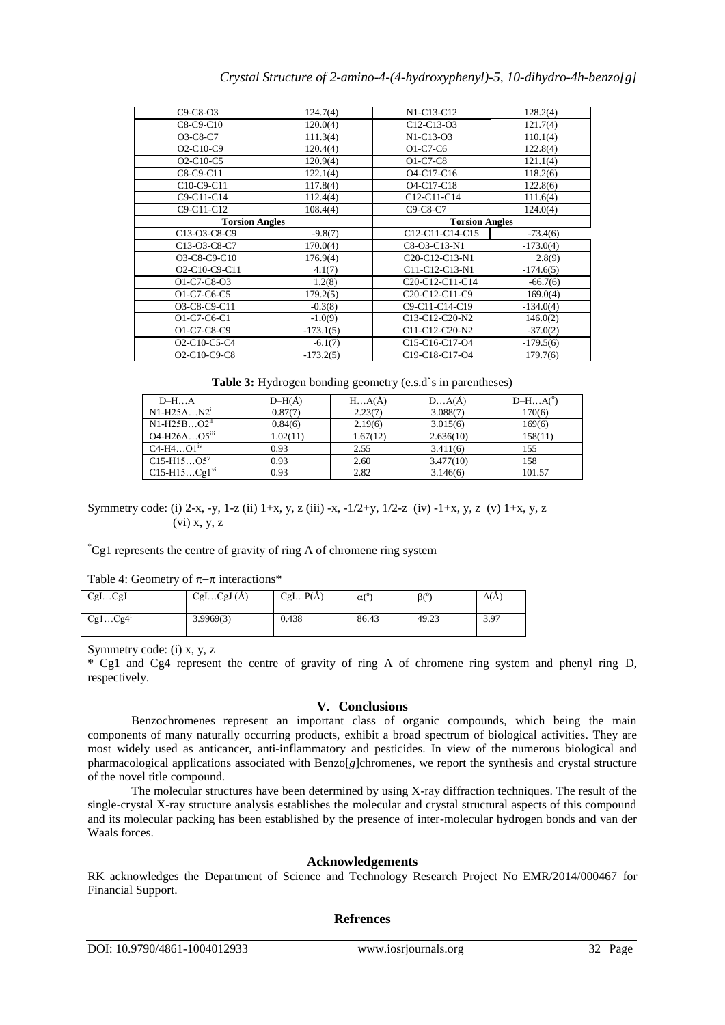| $C9-C8-O3$                                                      | 124.7(4)              | N1-C13-C12                                                         | 128.2(4)              |  |  |
|-----------------------------------------------------------------|-----------------------|--------------------------------------------------------------------|-----------------------|--|--|
| $C8-C9-C10$                                                     | 120.0(4)              | C <sub>12</sub> -C <sub>13</sub> -O <sub>3</sub>                   | 121.7(4)              |  |  |
| O3-C8-C7                                                        | 111.3(4)              | N1-C13-O3                                                          | 110.1(4)              |  |  |
| $O2-C10-C9$                                                     | 120.4(4)              | $O1-C7-C6$                                                         | 122.8(4)              |  |  |
| $O2-C10-C5$                                                     | 120.9(4)              | $O1-C7-C8$                                                         | 121.1(4)              |  |  |
| $C8-C9-C11$                                                     | 122.1(4)              | O <sub>4</sub> -C <sub>17</sub> -C <sub>16</sub>                   | 118.2(6)              |  |  |
| C10-C9-C11                                                      | 117.8(4)              | O <sub>4</sub> -C <sub>17</sub> -C <sub>18</sub>                   | 122.8(6)              |  |  |
| C9-C11-C14                                                      | 112.4(4)              | C12-C11-C14                                                        | 111.6(4)              |  |  |
| C9-C11-C12                                                      | 108.4(4)              | C9-C8-C7                                                           | 124.0(4)              |  |  |
|                                                                 | <b>Torsion Angles</b> |                                                                    | <b>Torsion Angles</b> |  |  |
| C13-O3-C8-C9                                                    | $-9.8(7)$             | C12-C11-C14-C15                                                    | $-73.4(6)$            |  |  |
|                                                                 |                       |                                                                    |                       |  |  |
| C13-O3-C8-C7                                                    | 170.0(4)              | C8-O3-C13-N1                                                       | $-173.0(4)$           |  |  |
| O3-C8-C9-C10                                                    | 176.9(4)              | C <sub>20</sub> -C <sub>12</sub> -C <sub>13</sub> -N <sub>1</sub>  | 2.8(9)                |  |  |
| O2-C10-C9-C11                                                   | 4.1(7)                | C11-C12-C13-N1                                                     | $-174.6(5)$           |  |  |
| O1-C7-C8-O3                                                     | 1.2(8)                | C <sub>20</sub> -C <sub>12</sub> -C <sub>11</sub> -C <sub>14</sub> | $-66.7(6)$            |  |  |
| O1-C7-C6-C5                                                     | 179.2(5)              | C <sub>20</sub> -C <sub>12</sub> -C <sub>11</sub> -C <sub>9</sub>  | 169.0(4)              |  |  |
| O3-C8-C9-C11                                                    | $-0.3(8)$             | C9-C11-C14-C19                                                     | $-134.0(4)$           |  |  |
| O1-C7-C6-C1                                                     | $-1.0(9)$             | C13-C12-C20-N2                                                     | 146.0(2)              |  |  |
| O1-C7-C8-C9                                                     | $-173.1(5)$           | C11-C12-C20-N2                                                     | $-37.0(2)$            |  |  |
| O <sub>2</sub> -C <sub>10</sub> -C <sub>5</sub> -C <sub>4</sub> | $-6.1(7)$             | C15-C16-C17-O4                                                     | $-179.5(6)$           |  |  |

**Table 3:** Hydrogen bonding geometry (e.s.d) s in parentheses)

| $D-HA$                     | $D-H(A)$ | $H_{\cdots}A(A)$ | DA(A)     | $D-HAo$ |
|----------------------------|----------|------------------|-----------|---------|
| $N1-H25AN2$ <sup>1</sup>   | 0.87(7)  | 2.23(7)          | 3.088(7)  | 170(6)  |
| $N1-H25BO2ii$              | 0.84(6)  | 2.19(6)          | 3.015(6)  | 169(6)  |
| $O4-H26AO5$ <sup>iii</sup> | 1.02(11) | 1.67(12)         | 2.636(10) | 158(11) |
| $C4-H4O1iv$                | 0.93     | 2.55             | 3.411(6)  | 155     |
| $C15-H15O5^v$              | 0.93     | 2.60             | 3.477(10) | 158     |
| $C15-H15Cg1^{v1}$          | 0.93     | 2.82             | 3.146(6)  | 101.57  |

Symmetry code: (i) 2-x, -y, 1-z (ii) 1+x, y, z (iii) -x, -1/2+y, 1/2-z (iv) -1+x, y, z (v) 1+x, y, z (vi) x, y, z

\*Cg1 represents the centre of gravity of ring A of chromene ring system

Table 4: Geometry of  $\pi-\pi$  interactions\*

| CglCgJ              | CglCgl(A) | CglP(A) | $\alpha$ <sup>o</sup> | $\beta$ <sup>o</sup> ) | $\Delta(A)$ |
|---------------------|-----------|---------|-----------------------|------------------------|-------------|
| Cg1Cg4 <sup>i</sup> | 3.9969(3) | 0.438   | 86.43                 | 49.23                  | 3.97        |

Symmetry code: (i) x, y, z

\* Cg1 and Cg4 represent the centre of gravity of ring A of chromene ring system and phenyl ring D, respectively.

## **V. Conclusions**

Benzochromenes represent an important class of organic compounds, which being the main components of many naturally occurring products, exhibit a broad spectrum of biological activities. They are most widely used as anticancer, anti-inflammatory and pesticides. In view of the numerous biological and pharmacological applications associated with Benzo[*g*]chromenes, we report the synthesis and crystal structure of the novel title compound.

The molecular structures have been determined by using X-ray diffraction techniques. The result of the single-crystal X-ray structure analysis establishes the molecular and crystal structural aspects of this compound and its molecular packing has been established by the presence of inter-molecular hydrogen bonds and van der Waals forces.

## **Acknowledgements**

RK acknowledges the Department of Science and Technology Research Project No EMR/2014/000467 for Financial Support.

## **Refrences**